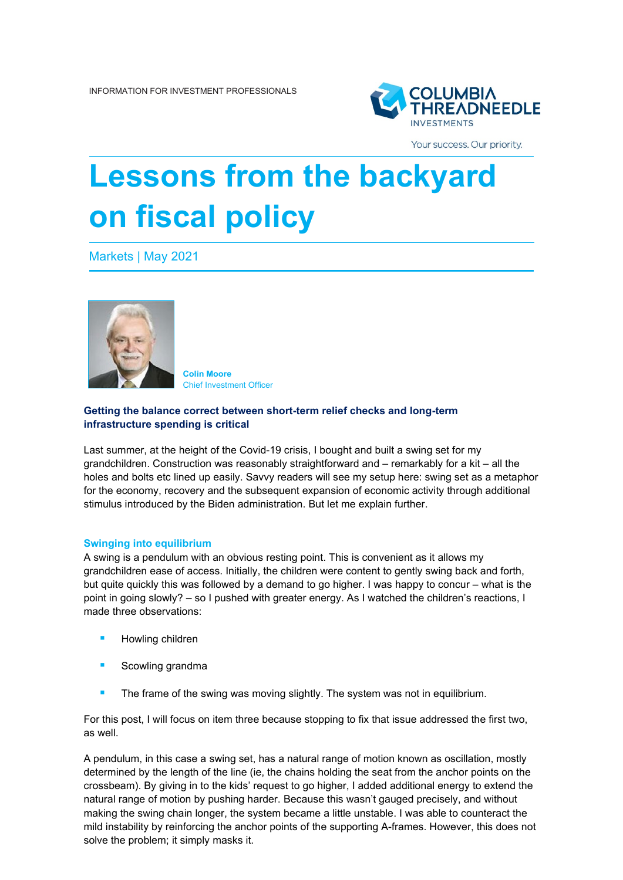

Your success. Our priority.

# **Lessons from the backyard on fiscal policy**

Markets | May 2021



**Colin Moore** Chief Investment Officer

## **Getting the balance correct between short-term relief checks and long-term infrastructure spending is critical**

Last summer, at the height of the Covid-19 crisis, I bought and built a swing set for my grandchildren. Construction was reasonably straightforward and – remarkably for a kit – all the holes and bolts etc lined up easily. Savvy readers will see my setup here: swing set as a metaphor for the economy, recovery and the subsequent expansion of economic activity through additional stimulus introduced by the Biden administration. But let me explain further.

#### **Swinging into equilibrium**

A swing is a pendulum with an obvious resting point. This is convenient as it allows my grandchildren ease of access. Initially, the children were content to gently swing back and forth, but quite quickly this was followed by a demand to go higher. I was happy to concur – what is the point in going slowly? – so I pushed with greater energy. As I watched the children's reactions, I made three observations:

- Howling children
- Scowling grandma
- **The frame of the swing was moving slightly. The system was not in equilibrium.**

For this post, I will focus on item three because stopping to fix that issue addressed the first two, as well.

A pendulum, in this case a swing set, has a natural range of motion known as oscillation, mostly determined by the length of the line (ie, the chains holding the seat from the anchor points on the crossbeam). By giving in to the kids' request to go higher, I added additional energy to extend the natural range of motion by pushing harder. Because this wasn't gauged precisely, and without making the swing chain longer, the system became a little unstable. I was able to counteract the mild instability by reinforcing the anchor points of the supporting A-frames. However, this does not solve the problem; it simply masks it.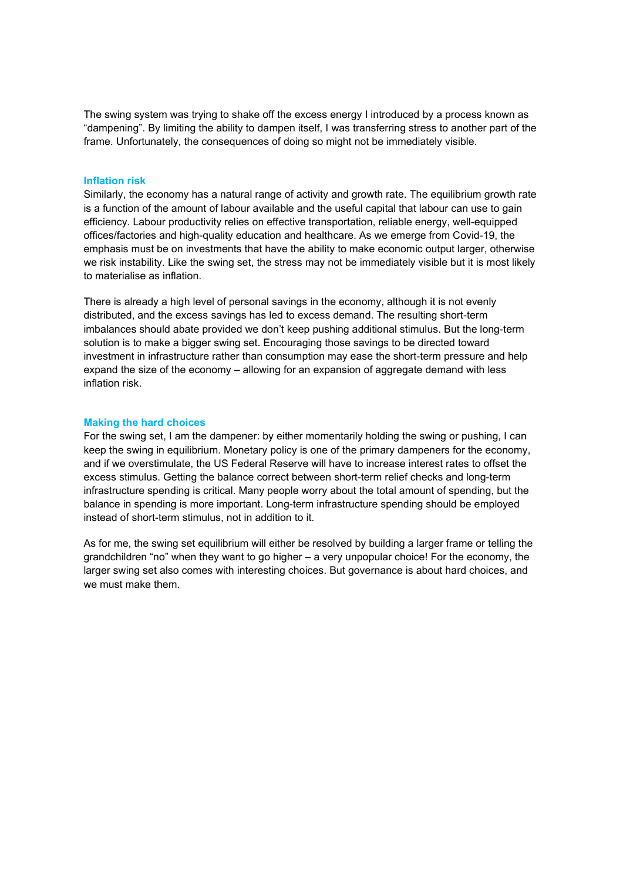The swing system was trying to shake off the excess energy I introduced by a process known as "dampening". By limiting the ability to dampen itself, I was transferring stress to another part of the frame. Unfortunately, the consequences of doing so might not be immediately visible.

#### **Inflation risk**

Similarly, the economy has a natural range of activity and growth rate. The equilibrium growth rate is a function of the amount of labour available and the useful capital that labour can use to gain efficiency. Labour productivity relies on effective transportation, reliable energy, well-equipped offices/factories and high-quality education and healthcare. As we emerge from Covid-19, the emphasis must be on investments that have the ability to make economic output larger, otherwise we risk instability. Like the swing set, the stress may not be immediately visible but it is most likely to materialise as inflation.

There is already a high level of personal savings in the economy, although it is not evenly distributed, and the excess savings has led to excess demand. The resulting short-term imbalances should abate provided we don't keep pushing additional stimulus. But the long-term solution is to make a bigger swing set. Encouraging those savings to be directed toward investment in infrastructure rather than consumption may ease the short-term pressure and help expand the size of the economy – allowing for an expansion of aggregate demand with less inflation risk.

#### **Making the hard choices**

For the swing set, I am the dampener: by either momentarily holding the swing or pushing, I can keep the swing in equilibrium. Monetary policy is one of the primary dampeners for the economy, and if we overstimulate, the US Federal Reserve will have to increase interest rates to offset the excess stimulus. Getting the balance correct between short-term relief checks and long-term infrastructure spending is critical. Many people worry about the total amount of spending, but the balance in spending is more important. Long-term infrastructure spending should be employed instead of short-term stimulus, not in addition to it.

As for me, the swing set equilibrium will either be resolved by building a larger frame or telling the grandchildren "no" when they want to go higher – a very unpopular choice! For the economy, the larger swing set also comes with interesting choices. But governance is about hard choices, and we must make them.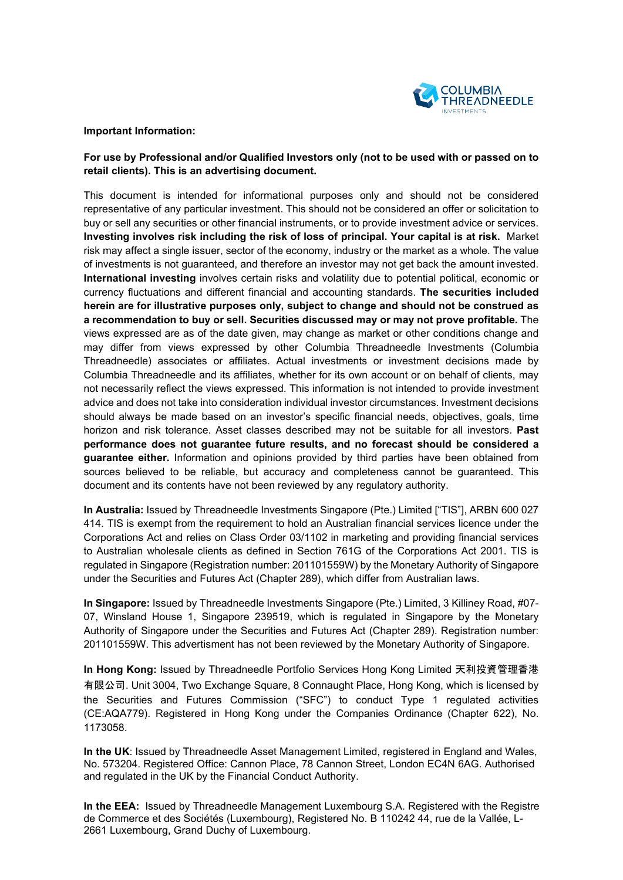

### **Important Information:**

# **For use by Professional and/or Qualified Investors only (not to be used with or passed on to retail clients). This is an advertising document.**

This document is intended for informational purposes only and should not be considered representative of any particular investment. This should not be considered an offer or solicitation to buy or sell any securities or other financial instruments, or to provide investment advice or services. **Investing involves risk including the risk of loss of principal. Your capital is at risk.** Market risk may affect a single issuer, sector of the economy, industry or the market as a whole. The value of investments is not guaranteed, and therefore an investor may not get back the amount invested. **International investing** involves certain risks and volatility due to potential political, economic or currency fluctuations and different financial and accounting standards. **The securities included herein are for illustrative purposes only, subject to change and should not be construed as a recommendation to buy or sell. Securities discussed may or may not prove profitable.** The views expressed are as of the date given, may change as market or other conditions change and may differ from views expressed by other Columbia Threadneedle Investments (Columbia Threadneedle) associates or affiliates. Actual investments or investment decisions made by Columbia Threadneedle and its affiliates, whether for its own account or on behalf of clients, may not necessarily reflect the views expressed. This information is not intended to provide investment advice and does not take into consideration individual investor circumstances. Investment decisions should always be made based on an investor's specific financial needs, objectives, goals, time horizon and risk tolerance. Asset classes described may not be suitable for all investors. **Past performance does not guarantee future results, and no forecast should be considered a guarantee either.** Information and opinions provided by third parties have been obtained from sources believed to be reliable, but accuracy and completeness cannot be guaranteed. This document and its contents have not been reviewed by any regulatory authority.

**In Australia:** Issued by Threadneedle Investments Singapore (Pte.) Limited ["TIS"], ARBN 600 027 414. TIS is exempt from the requirement to hold an Australian financial services licence under the Corporations Act and relies on Class Order 03/1102 in marketing and providing financial services to Australian wholesale clients as defined in Section 761G of the Corporations Act 2001. TIS is regulated in Singapore (Registration number: 201101559W) by the Monetary Authority of Singapore under the Securities and Futures Act (Chapter 289), which differ from Australian laws.

**In Singapore:** Issued by Threadneedle Investments Singapore (Pte.) Limited, 3 Killiney Road, #07- 07, Winsland House 1, Singapore 239519, which is regulated in Singapore by the Monetary Authority of Singapore under the Securities and Futures Act (Chapter 289). Registration number: 201101559W. This advertisment has not been reviewed by the Monetary Authority of Singapore.

**In Hong Kong:** Issued by Threadneedle Portfolio Services Hong Kong Limited 天利投資管理香港 有限公司. Unit 3004, Two Exchange Square, 8 Connaught Place, Hong Kong, which is licensed by the Securities and Futures Commission ("SFC") to conduct Type 1 regulated activities (CE:AQA779). Registered in Hong Kong under the Companies Ordinance (Chapter 622), No. 1173058.

**In the UK**: Issued by Threadneedle Asset Management Limited, registered in England and Wales, No. 573204. Registered Office: Cannon Place, 78 Cannon Street, London EC4N 6AG. Authorised and regulated in the UK by the Financial Conduct Authority.

**In the EEA:** Issued by Threadneedle Management Luxembourg S.A. Registered with the Registre de Commerce et des Sociétés (Luxembourg), Registered No. B 110242 44, rue de la Vallée, L-2661 Luxembourg, Grand Duchy of Luxembourg.